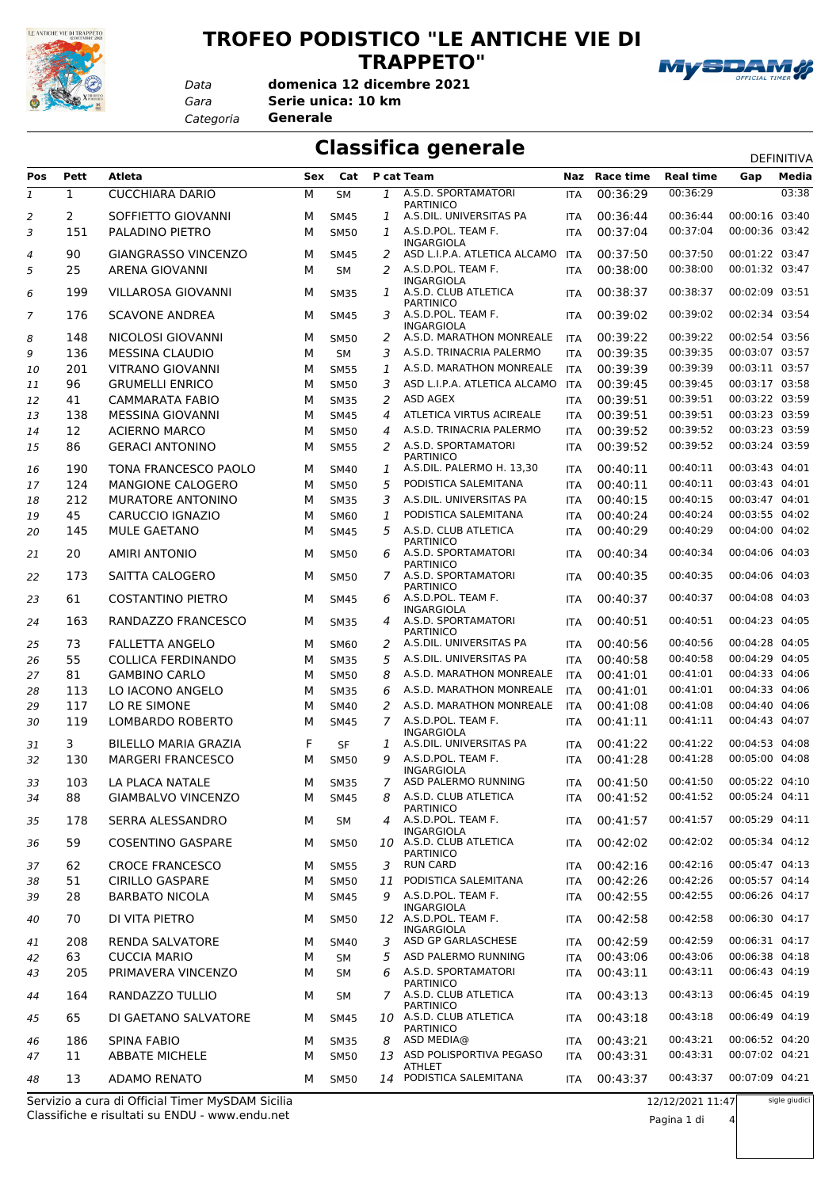

## **TROFEO PODISTICO "LE ANTICHE VIE DI TRAPPETO"**



*Gara* **Serie unica: 10 km domenica 12 dicembre 2021**

*Categoria* **Generale**

*Data*

**Classifica generale** Definitival DEFINITIVA

| Pos          | Pett         | <b>Atleta</b>              | Sex | Cat         |                | P cat Team                                    |            | Naz Race time | <b>Real time</b> | Gap            | Media |
|--------------|--------------|----------------------------|-----|-------------|----------------|-----------------------------------------------|------------|---------------|------------------|----------------|-------|
| $\mathbf{1}$ | $\mathbf{1}$ | <b>CUCCHIARA DARIO</b>     | M   | <b>SM</b>   | $\mathbf{1}$   | A.S.D. SPORTAMATORI                           | <b>ITA</b> | 00:36:29      | 00:36:29         |                | 03:38 |
| 2            | 2            | SOFFIETTO GIOVANNI         | м   | <b>SM45</b> | 1              | <b>PARTINICO</b><br>A.S.DIL. UNIVERSITAS PA   | <b>ITA</b> | 00:36:44      | 00:36:44         | 00:00:16 03:40 |       |
| 3            | 151          | PALADINO PIETRO            | M   | <b>SM50</b> | $\mathcal{I}$  | A.S.D.POL. TEAM F.                            | <b>ITA</b> | 00:37:04      | 00:37:04         | 00:00:36 03:42 |       |
|              |              |                            |     |             |                | <b>INGARGIOLA</b>                             |            |               |                  |                |       |
| 4            | 90           | <b>GIANGRASSO VINCENZO</b> | M   | <b>SM45</b> | 2              | ASD L.I.P.A. ATLETICA ALCAMO                  | <b>ITA</b> | 00:37:50      | 00:37:50         | 00:01:22 03:47 |       |
| 5            | 25           | <b>ARENA GIOVANNI</b>      | M   | <b>SM</b>   | 2              | A.S.D.POL. TEAM F.<br>INGARGIOLA              | <b>ITA</b> | 00:38:00      | 00:38:00         | 00:01:32 03:47 |       |
| 6            | 199          | <b>VILLAROSA GIOVANNI</b>  | м   | <b>SM35</b> | 1              | A.S.D. CLUB ATLETICA                          | <b>ITA</b> | 00:38:37      | 00:38:37         | 00:02:09 03:51 |       |
| 7            | 176          | <b>SCAVONE ANDREA</b>      | м   | <b>SM45</b> | 3              | <b>PARTINICO</b><br>A.S.D.POL. TEAM F.        | <b>ITA</b> | 00:39:02      | 00:39:02         | 00:02:34 03:54 |       |
| 8            | 148          | NICOLOSI GIOVANNI          | м   | <b>SM50</b> | 2              | <b>INGARGIOLA</b><br>A.S.D. MARATHON MONREALE | <b>ITA</b> | 00:39:22      | 00:39:22         | 00:02:54 03:56 |       |
| 9            | 136          | <b>MESSINA CLAUDIO</b>     | М   | <b>SM</b>   | 3              | A.S.D. TRINACRIA PALERMO                      | <b>ITA</b> | 00:39:35      | 00:39:35         | 00:03:07 03:57 |       |
| 10           | 201          | <b>VITRANO GIOVANNI</b>    | M   | <b>SM55</b> | 1              | A.S.D. MARATHON MONREALE                      | <b>ITA</b> | 00:39:39      | 00:39:39         | 00:03:11 03:57 |       |
| 11           | 96           | <b>GRUMELLI ENRICO</b>     | M   | <b>SM50</b> | 3              | ASD L.I.P.A. ATLETICA ALCAMO                  | <b>ITA</b> | 00:39:45      | 00:39:45         | 00:03:17 03:58 |       |
| 12           | 41           | <b>CAMMARATA FABIO</b>     | M   | <b>SM35</b> | 2              | ASD AGEX                                      | <b>ITA</b> | 00:39:51      | 00:39:51         | 00:03:22 03:59 |       |
| 13           | 138          | <b>MESSINA GIOVANNI</b>    | M   | <b>SM45</b> | 4              | ATLETICA VIRTUS ACIREALE                      | <b>ITA</b> | 00:39:51      | 00:39:51         | 00:03:23 03:59 |       |
| 14           | 12           | <b>ACIERNO MARCO</b>       | M   | <b>SM50</b> | 4              | A.S.D. TRINACRIA PALERMO                      | <b>ITA</b> | 00:39:52      | 00:39:52         | 00:03:23 03:59 |       |
| 15           | 86           | <b>GERACI ANTONINO</b>     | м   | <b>SM55</b> | 2              | A.S.D. SPORTAMATORI                           | <b>ITA</b> | 00:39:52      | 00:39:52         | 00:03:24 03:59 |       |
| 16           | 190          | TONA FRANCESCO PAOLO       | M   | <b>SM40</b> | 1              | <b>PARTINICO</b><br>A.S.DIL. PALERMO H. 13,30 | <b>ITA</b> | 00:40:11      | 00:40:11         | 00:03:43 04:01 |       |
| 17           | 124          | MANGIONE CALOGERO          | M   | <b>SM50</b> | 5              | PODISTICA SALEMITANA                          | <b>ITA</b> | 00:40:11      | 00:40:11         | 00:03:43 04:01 |       |
| 18           | 212          | MURATORE ANTONINO          | M   | <b>SM35</b> | 3              | A.S.DIL. UNIVERSITAS PA                       | <b>ITA</b> | 00:40:15      | 00:40:15         | 00:03:47 04:01 |       |
| 19           | 45           | CARUCCIO IGNAZIO           | M   | <b>SM60</b> | 1              | PODISTICA SALEMITANA                          | <b>ITA</b> | 00:40:24      | 00:40:24         | 00:03:55 04:02 |       |
| 20           | 145          | <b>MULE GAETANO</b>        | м   | <b>SM45</b> | 5              | A.S.D. CLUB ATLETICA                          | <b>ITA</b> | 00:40:29      | 00:40:29         | 00:04:00 04:02 |       |
|              |              |                            |     |             |                | <b>PARTINICO</b>                              |            |               |                  |                |       |
| 21           | 20           | <b>AMIRI ANTONIO</b>       | M   | <b>SM50</b> | 6              | A.S.D. SPORTAMATORI<br><b>PARTINICO</b>       | <b>ITA</b> | 00:40:34      | 00:40:34         | 00:04:06 04:03 |       |
| 22           | 173          | SAITTA CALOGERO            | м   | <b>SM50</b> | 7              | A.S.D. SPORTAMATORI<br><b>PARTINICO</b>       | <b>ITA</b> | 00:40:35      | 00:40:35         | 00:04:06 04:03 |       |
| 23           | 61           | <b>COSTANTINO PIETRO</b>   | м   | <b>SM45</b> | 6              | A.S.D.POL. TEAM F.<br><b>INGARGIOLA</b>       | <b>ITA</b> | 00:40:37      | 00:40:37         | 00:04:08 04:03 |       |
| 24           | 163          | RANDAZZO FRANCESCO         | м   | <b>SM35</b> | $\overline{a}$ | A.S.D. SPORTAMATORI                           | <b>ITA</b> | 00:40:51      | 00:40:51         | 00:04:23 04:05 |       |
| 25           | 73           | <b>FALLETTA ANGELO</b>     | м   | <b>SM60</b> | 2              | <b>PARTINICO</b><br>A.S.DIL. UNIVERSITAS PA   | <b>ITA</b> | 00:40:56      | 00:40:56         | 00:04:28 04:05 |       |
| 26           | 55           | <b>COLLICA FERDINANDO</b>  | M   | <b>SM35</b> | 5              | A.S.DIL. UNIVERSITAS PA                       | <b>ITA</b> | 00:40:58      | 00:40:58         | 00:04:29 04:05 |       |
| 27           | 81           | <b>GAMBINO CARLO</b>       | м   | <b>SM50</b> | 8              | A.S.D. MARATHON MONREALE                      | <b>ITA</b> | 00:41:01      | 00:41:01         | 00:04:33 04:06 |       |
| 28           | 113          | LO IACONO ANGELO           | M   | <b>SM35</b> | 6              | A.S.D. MARATHON MONREALE                      | <b>ITA</b> | 00:41:01      | 00:41:01         | 00:04:33 04:06 |       |
| 29           | 117          | LO RE SIMONE               | M   | SM40        | 2              | A.S.D. MARATHON MONREALE                      | <b>ITA</b> | 00:41:08      | 00:41:08         | 00:04:40 04:06 |       |
| 30           | 119          | LOMBARDO ROBERTO           | M   | <b>SM45</b> | 7              | A.S.D.POL. TEAM F.                            | <b>ITA</b> | 00:41:11      | 00:41:11         | 00:04:43 04:07 |       |
|              | 3            | BILELLO MARIA GRAZIA       | F   | <b>SF</b>   | 1              | <b>INGARGIOLA</b><br>A.S.DIL. UNIVERSITAS PA  | <b>ITA</b> | 00:41:22      | 00:41:22         | 00:04:53 04:08 |       |
| 31<br>32     | 130          | <b>MARGERI FRANCESCO</b>   | м   | <b>SM50</b> | 9              | A.S.D.POL. TEAM F.                            | <b>ITA</b> | 00:41:28      | 00:41:28         | 00:05:00 04:08 |       |
|              |              |                            |     |             |                | INGARGIOLA                                    |            |               | 00:41:50         | 00:05:22 04:10 |       |
| 33           | 103          | LA PLACA NATALE            | M   | <b>SM35</b> | 7              | ASD PALERMO RUNNING                           | <b>ITA</b> | 00:41:50      | 00:41:52         | 00:05:24 04:11 |       |
| 34           | 88           | <b>GIAMBALVO VINCENZO</b>  | M   | <b>SM45</b> |                | 8 A.S.D. CLUB ATLETICA<br><b>PARTINICO</b>    |            | ITA 00:41:52  |                  |                |       |
| 35           | 178          | SERRA ALESSANDRO           | м   | SМ          |                | 4 A.S.D.POL. TEAM F.<br><b>INGARGIOLA</b>     | <b>ITA</b> | 00:41:57      | 00:41:57         | 00:05:29 04:11 |       |
| 36           | 59           | <b>COSENTINO GASPARE</b>   | м   | <b>SM50</b> |                | 10 A.S.D. CLUB ATLETICA<br>PARTINICO          | <b>ITA</b> | 00:42:02      | 00:42:02         | 00:05:34 04:12 |       |
| 37           | 62           | <b>CROCE FRANCESCO</b>     | м   | <b>SM55</b> | 3              | <b>RUN CARD</b>                               | <b>ITA</b> | 00:42:16      | 00:42:16         | 00:05:47 04:13 |       |
| 38           | 51           | <b>CIRILLO GASPARE</b>     | М   | <b>SM50</b> | 11             | PODISTICA SALEMITANA                          | <b>ITA</b> | 00:42:26      | 00:42:26         | 00:05:57 04:14 |       |
| 39           | 28           | <b>BARBATO NICOLA</b>      | м   | <b>SM45</b> | 9              | A.S.D.POL. TEAM F.                            | <b>ITA</b> | 00:42:55      | 00:42:55         | 00:06:26 04:17 |       |
| 40           | 70           | DI VITA PIETRO             | м   | <b>SM50</b> |                | <b>INGARGIOLA</b><br>12 A.S.D.POL. TEAM F.    | ITA        | 00:42:58      | 00:42:58         | 00:06:30 04:17 |       |
|              |              |                            |     |             |                | INGARGIOLA                                    |            |               |                  |                |       |
| 41           | 208          | RENDA SALVATORE            | м   | <b>SM40</b> | 3              | ASD GP GARLASCHESE                            | <b>ITA</b> | 00:42:59      | 00:42:59         | 00:06:31 04:17 |       |
| 42           | 63           | <b>CUCCIA MARIO</b>        | М   | SМ          | 5              | ASD PALERMO RUNNING                           | <b>ITA</b> | 00:43:06      | 00:43:06         | 00:06:38 04:18 |       |
| 43           | 205          | PRIMAVERA VINCENZO         | м   | SM          | 6              | A.S.D. SPORTAMATORI<br><b>PARTINICO</b>       | <b>ITA</b> | 00:43:11      | 00:43:11         | 00:06:43 04:19 |       |
| 44           | 164          | RANDAZZO TULLIO            | м   | SM          |                | 7 A.S.D. CLUB ATLETICA                        | <b>ITA</b> | 00:43:13      | 00:43:13         | 00:06:45 04:19 |       |
| 45           | 65           | DI GAETANO SALVATORE       | м   | <b>SM45</b> |                | PARTINICO<br>10 A.S.D. CLUB ATLETICA          | <b>ITA</b> | 00:43:18      | 00:43:18         | 00:06:49 04:19 |       |
|              |              |                            |     |             |                | <b>PARTINICO</b>                              |            |               |                  |                |       |
| 46           | 186          | <b>SPINA FABIO</b>         | м   | <b>SM35</b> | 8              | ASD MEDIA@                                    | <b>ITA</b> | 00:43:21      | 00:43:21         | 00:06:52 04:20 |       |
| 47           | 11           | <b>ABBATE MICHELE</b>      | M   | <b>SM50</b> |                | 13 ASD POLISPORTIVA PEGASO<br><b>ATHLET</b>   | <b>ITA</b> | 00:43:31      | 00:43:31         | 00:07:02 04:21 |       |
| 48           | 13           | <b>ADAMO RENATO</b>        | м   | <b>SM50</b> |                | 14 PODISTICA SALEMITANA                       | <b>ITA</b> | 00:43:37      | 00:43:37         | 00:07:09 04:21 |       |

Classifiche e risultati su ENDU - www.endu.net Servizio a cura di Official Timer MySDAM Sicilia sigle giudici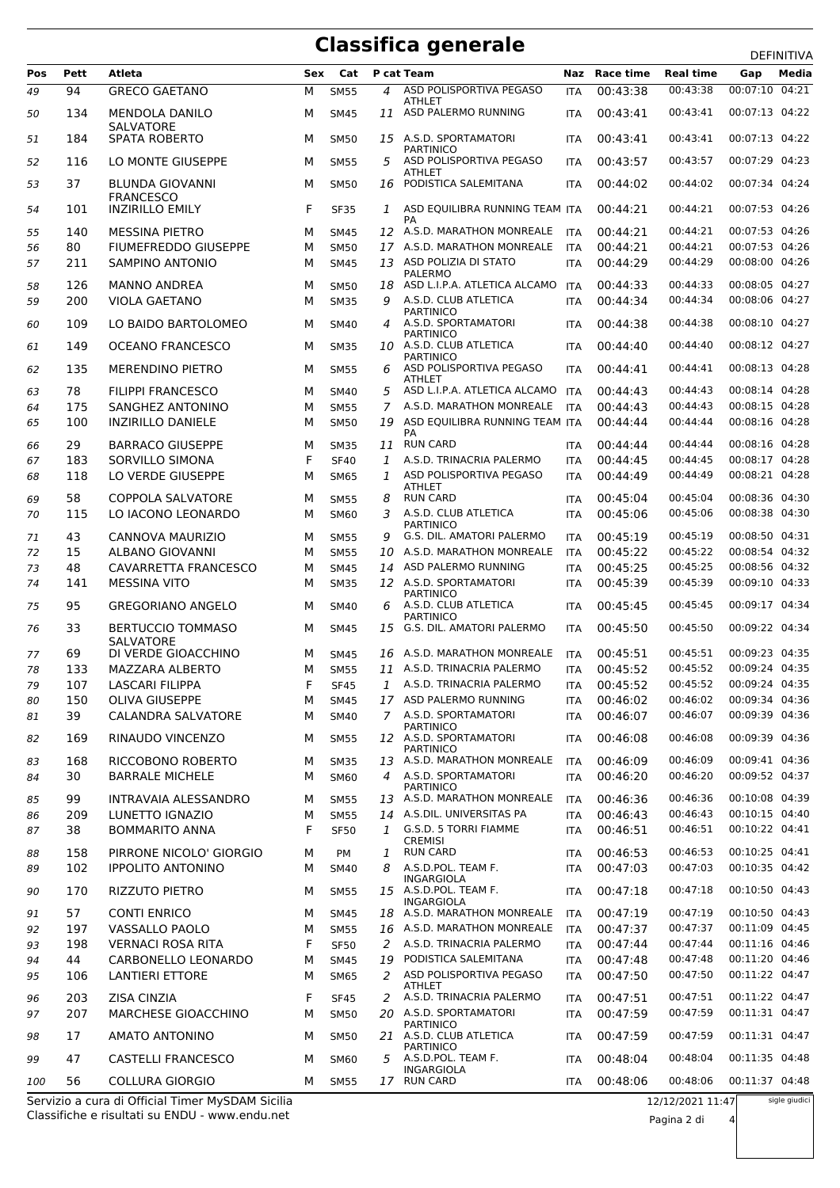## **Classifica generale**

|     |             |                                              |     |             |                  |                                                                 |            |                      |                      |                                  | <b>DEFINITIVA</b> |
|-----|-------------|----------------------------------------------|-----|-------------|------------------|-----------------------------------------------------------------|------------|----------------------|----------------------|----------------------------------|-------------------|
| Pos | <b>Pett</b> | <b>Atleta</b>                                | Sex | Cat         |                  | P cat Team                                                      |            | Naz Race time        | <b>Real time</b>     | Gap                              | Media             |
| 49  | 94          | <b>GRECO GAETANO</b>                         | М   | <b>SM55</b> | 4                | ASD POLISPORTIVA PEGASO                                         | ITA        | 00:43:38             | 00:43:38             | 00:07:10 04:21                   |                   |
| 50  | 134         | <b>MENDOLA DANILO</b>                        | м   | <b>SM45</b> |                  | <b>ATHLET</b><br>11 ASD PALERMO RUNNING                         | <b>ITA</b> | 00:43:41             | 00:43:41             | 00:07:13 04:22                   |                   |
| 51  | 184         | <b>SALVATORE</b><br><b>SPATA ROBERTO</b>     | м   | <b>SM50</b> |                  | 15 A.S.D. SPORTAMATORI                                          | ITA        | 00:43:41             | 00:43:41             | 00:07:13 04:22                   |                   |
| 52  | 116         | LO MONTE GIUSEPPE                            | м   | <b>SM55</b> | 5                | PARTINICO<br>ASD POLISPORTIVA PEGASO                            | <b>ITA</b> | 00:43:57             | 00:43:57             | 00:07:29 04:23                   |                   |
| 53  | 37          | <b>BLUNDA GIOVANNI</b>                       | м   | <b>SM50</b> | 16               | <b>ATHLET</b><br>PODISTICA SALEMITANA                           | <b>ITA</b> | 00:44:02             | 00:44:02             | 00:07:34 04:24                   |                   |
|     |             | <b>FRANCESCO</b>                             |     |             |                  |                                                                 |            |                      |                      |                                  |                   |
| 54  | 101         | <b>INZIRILLO EMILY</b>                       | F   | <b>SF35</b> | 1                | ASD EQUILIBRA RUNNING TEAM ITA<br>PA                            |            | 00:44:21             | 00:44:21             | 00:07:53 04:26                   |                   |
| 55  | 140         | <b>MESSINA PIETRO</b>                        | м   | <b>SM45</b> |                  | 12 A.S.D. MARATHON MONREALE                                     | <b>ITA</b> | 00:44:21             | 00:44:21             | 00:07:53 04:26                   |                   |
| 56  | 80          | FIUMEFREDDO GIUSEPPE                         | м   | <b>SM50</b> | 17               | A.S.D. MARATHON MONREALE                                        | <b>ITA</b> | 00:44:21             | 00:44:21             | 00:07:53 04:26                   |                   |
| 57  | 211         | SAMPINO ANTONIO                              | М   | <b>SM45</b> |                  | 13 ASD POLIZIA DI STATO<br><b>PALERMO</b>                       | <b>ITA</b> | 00:44:29             | 00:44:29             | 00:08:00 04:26                   |                   |
| 58  | 126         | <b>MANNO ANDREA</b>                          | м   | <b>SM50</b> | 18               | ASD L.I.P.A. ATLETICA ALCAMO                                    | <b>ITA</b> | 00:44:33             | 00:44:33             | 00:08:05 04:27                   |                   |
| 59  | 200         | <b>VIOLA GAETANO</b>                         | м   | <b>SM35</b> | 9                | A.S.D. CLUB ATLETICA                                            | <b>ITA</b> | 00:44:34             | 00:44:34             | 00:08:06 04:27                   |                   |
| 60  | 109         | LO BAIDO BARTOLOMEO                          | м   | <b>SM40</b> | $\boldsymbol{4}$ | <b>PARTINICO</b><br>A.S.D. SPORTAMATORI                         | ITA        | 00:44:38             | 00:44:38             | 00:08:10 04:27                   |                   |
| 61  | 149         | <b>OCEANO FRANCESCO</b>                      | м   | <b>SM35</b> | 10               | PARTINICO<br>A.S.D. CLUB ATLETICA                               | <b>ITA</b> | 00:44:40             | 00:44:40             | 00:08:12 04:27                   |                   |
| 62  | 135         | <b>MERENDINO PIETRO</b>                      | м   | <b>SM55</b> | 6                | <b>PARTINICO</b><br>ASD POLISPORTIVA PEGASO                     | <b>ITA</b> | 00:44:41             | 00:44:41             | 00:08:13 04:28                   |                   |
| 63  | 78          | <b>FILIPPI FRANCESCO</b>                     | м   | <b>SM40</b> | 5                | <b>ATHLET</b><br>ASD L.I.P.A. ATLETICA ALCAMO                   | <b>ITA</b> | 00:44:43             | 00:44:43             | 00:08:14 04:28                   |                   |
| 64  | 175         | SANGHEZ ANTONINO                             | м   | <b>SM55</b> | 7                | A.S.D. MARATHON MONREALE                                        | <b>ITA</b> | 00:44:43             | 00:44:43             | 00:08:15 04:28                   |                   |
| 65  | 100         | <b>INZIRILLO DANIELE</b>                     | м   | <b>SM50</b> | 19               | ASD EQUILIBRA RUNNING TEAM ITA                                  |            | 00:44:44             | 00:44:44             | 00:08:16 04:28                   |                   |
| 66  | 29          | <b>BARRACO GIUSEPPE</b>                      | м   | <b>SM35</b> | 11               | PA<br><b>RUN CARD</b>                                           | <b>ITA</b> | 00:44:44             | 00:44:44             | 00:08:16 04:28                   |                   |
| 67  | 183         | SORVILLO SIMONA                              | F   | <b>SF40</b> | 1                | A.S.D. TRINACRIA PALERMO                                        | ITA        | 00:44:45             | 00:44:45             | 00:08:17 04:28                   |                   |
| 68  | 118         | LO VERDE GIUSEPPE                            | М   | <b>SM65</b> | 1                | ASD POLISPORTIVA PEGASO                                         | <b>ITA</b> | 00:44:49             | 00:44:49             | 00:08:21 04:28                   |                   |
|     |             |                                              |     |             |                  | <b>ATHLET</b>                                                   |            |                      |                      |                                  |                   |
| 69  | 58<br>115   | COPPOLA SALVATORE<br>LO IACONO LEONARDO      | м   | <b>SM55</b> | 8<br>3           | <b>RUN CARD</b><br>A.S.D. CLUB ATLETICA                         | ITA        | 00:45:04<br>00:45:06 | 00:45:04<br>00:45:06 | 00:08:36 04:30<br>00:08:38 04:30 |                   |
| 70  |             |                                              | м   | <b>SM60</b> |                  | <b>PARTINICO</b>                                                | <b>ITA</b> |                      |                      |                                  |                   |
| 71  | 43          | CANNOVA MAURIZIO                             | м   | <b>SM55</b> | 9                | G.S. DIL. AMATORI PALERMO                                       | ITA        | 00:45:19             | 00:45:19             | 00:08:50 04:31                   |                   |
| 72  | 15          | ALBANO GIOVANNI                              | м   | <b>SM55</b> | 10               | A.S.D. MARATHON MONREALE                                        | <b>ITA</b> | 00:45:22             | 00:45:22             | 00:08:54 04:32                   |                   |
| 73  | 48          | CAVARRETTA FRANCESCO                         | м   | <b>SM45</b> | 14               | ASD PALERMO RUNNING                                             | <b>ITA</b> | 00:45:25             | 00:45:25             | 00:08:56 04:32                   |                   |
| 74  | 141         | <b>MESSINA VITO</b>                          | м   | <b>SM35</b> |                  | 12 A.S.D. SPORTAMATORI<br><b>PARTINICO</b>                      | <b>ITA</b> | 00:45:39             | 00:45:39             | 00:09:10 04:33                   |                   |
| 75  | 95          | <b>GREGORIANO ANGELO</b>                     | м   | <b>SM40</b> | 6                | A.S.D. CLUB ATLETICA<br><b>PARTINICO</b>                        | <b>ITA</b> | 00:45:45             | 00:45:45             | 00:09:17 04:34                   |                   |
| 76  | 33          | <b>BERTUCCIO TOMMASO</b><br><b>SALVATORE</b> | м   | <b>SM45</b> |                  | 15 G.S. DIL. AMATORI PALERMO                                    | <b>ITA</b> | 00:45:50             | 00:45:50             | 00:09:22 04:34                   |                   |
| 77  | 69          | DI VERDE GIOACCHINO                          | м   | <b>SM45</b> |                  | 16 A.S.D. MARATHON MONREALE                                     | ITA        | 00:45:51             | 00:45:51             | 00:09:23 04:35                   |                   |
| 78  | 133         | MAZZARA ALBERTO                              | м   | <b>SM55</b> |                  | 11 A.S.D. TRINACRIA PALERMO                                     | <b>ITA</b> | 00:45:52             | 00:45:52             | 00:09:24 04:35                   |                   |
| 79  | 107         | <b>LASCARI FILIPPA</b>                       | F   | <b>SF45</b> |                  | 1 A.S.D. TRINACRIA PALERMO                                      | <b>ITA</b> | 00:45:52             | 00:45:52             | 00:09:24 04:35                   |                   |
| 80  | 150         | <b>OLIVA GIUSEPPE</b>                        | м   | <b>SM45</b> |                  | 17 ASD PALERMO RUNNING                                          | ITA        | 00:46:02             | 00:46:02             | 00:09:34 04:36                   |                   |
| 81  | 39          | <b>CALANDRA SALVATORE</b>                    | М   | <b>SM40</b> | $\overline{7}$   | A.S.D. SPORTAMATORI<br><b>PARTINICO</b>                         | ITA        | 00:46:07             | 00:46:07             | 00:09:39 04:36                   |                   |
| 82  | 169         | RINAUDO VINCENZO                             | м   | <b>SM55</b> |                  | 12 A.S.D. SPORTAMATORI<br><b>PARTINICO</b>                      | <b>ITA</b> | 00:46:08             | 00:46:08             | 00:09:39 04:36                   |                   |
| 83  | 168         | RICCOBONO ROBERTO                            | м   | <b>SM35</b> | 13               | A.S.D. MARATHON MONREALE                                        | ITA        | 00:46:09             | 00:46:09             | 00:09:41 04:36                   |                   |
| 84  | 30          | <b>BARRALE MICHELE</b>                       | м   | <b>SM60</b> | $\overline{4}$   | A.S.D. SPORTAMATORI<br>PARTINICO                                | <b>ITA</b> | 00:46:20             | 00:46:20             | 00:09:52 04:37                   |                   |
| 85  | 99          | <b>INTRAVAIA ALESSANDRO</b>                  | м   | <b>SM55</b> |                  | 13 A.S.D. MARATHON MONREALE                                     | ITA        | 00:46:36             | 00:46:36             | 00:10:08 04:39                   |                   |
| 86  | 209         | LUNETTO IGNAZIO                              | м   | <b>SM55</b> |                  | 14 A.S.DIL. UNIVERSITAS PA                                      | <b>ITA</b> | 00:46:43             | 00:46:43             | 00:10:15 04:40                   |                   |
| 87  | 38          | <b>BOMMARITO ANNA</b>                        | F   | <b>SF50</b> | $\mathcal{I}$    | G.S.D. 5 TORRI FIAMME<br><b>CREMISI</b>                         | <b>ITA</b> | 00:46:51             | 00:46:51             | 00:10:22 04:41                   |                   |
| 88  | 158         | PIRRONE NICOLO' GIORGIO                      | м   | PM          | 1                | <b>RUN CARD</b>                                                 | <b>ITA</b> | 00:46:53             | 00:46:53             | 00:10:25 04:41                   |                   |
| 89  | 102         | <b>IPPOLITO ANTONINO</b>                     | м   | <b>SM40</b> | 8                | A.S.D.POL. TEAM F.                                              | <b>ITA</b> | 00:47:03             | 00:47:03             | 00:10:35 04:42                   |                   |
| 90  | 170         | RIZZUTO PIETRO                               | м   | <b>SM55</b> |                  | <b>INGARGIOLA</b><br>15 A.S.D.POL. TEAM F.<br><b>INGARGIOLA</b> | <b>ITA</b> | 00:47:18             | 00:47:18             | 00:10:50 04:43                   |                   |
| 91  | 57          | <b>CONTI ENRICO</b>                          | м   | <b>SM45</b> |                  | 18 A.S.D. MARATHON MONREALE                                     | ITA        | 00:47:19             | 00:47:19             | 00:10:50 04:43                   |                   |
| 92  | 197         | VASSALLO PAOLO                               | м   | <b>SM55</b> |                  | 16 A.S.D. MARATHON MONREALE                                     | <b>ITA</b> | 00:47:37             | 00:47:37             | 00:11:09 04:45                   |                   |
| 93  | 198         | <b>VERNACI ROSA RITA</b>                     | F   | <b>SF50</b> | 2                | A.S.D. TRINACRIA PALERMO                                        | ITA        | 00:47:44             | 00:47:44             | 00:11:16 04:46                   |                   |
| 94  | 44          | CARBONELLO LEONARDO                          | м   | <b>SM45</b> | 19               | PODISTICA SALEMITANA                                            | ITA        | 00:47:48             | 00:47:48             | 00:11:20 04:46                   |                   |
| 95  | 106         | <b>LANTIERI ETTORE</b>                       | м   | <b>SM65</b> | 2                | ASD POLISPORTIVA PEGASO                                         | <b>ITA</b> | 00:47:50             | 00:47:50             | 00:11:22 04:47                   |                   |
| 96  | 203         | ZISA CINZIA                                  | F   | <b>SF45</b> | 2                | ATHLET<br>A.S.D. TRINACRIA PALERMO                              | <b>ITA</b> | 00:47:51             | 00:47:51             | 00:11:22 04:47                   |                   |
| 97  | 207         | MARCHESE GIOACCHINO                          | м   | <b>SM50</b> | 20               | A.S.D. SPORTAMATORI<br>PARTINICO                                | <b>ITA</b> | 00:47:59             | 00:47:59             | 00:11:31 04:47                   |                   |
| 98  | 17          | AMATO ANTONINO                               | м   | <b>SM50</b> |                  | 21 A.S.D. CLUB ATLETICA<br><b>PARTINICO</b>                     | ITA        | 00:47:59             | 00:47:59             | 00:11:31 04:47                   |                   |
| 99  | 47          | CASTELLI FRANCESCO                           | м   | <b>SM60</b> | 5                | A.S.D.POL. TEAM F.<br><b>INGARGIOLA</b>                         | <b>ITA</b> | 00:48:04             | 00:48:04             | 00:11:35 04:48                   |                   |
| 100 | 56          | <b>COLLURA GIORGIO</b>                       | М   | <b>SM55</b> |                  | 17 RUN CARD                                                     | <b>ITA</b> | 00:48:06             | 00:48:06             | 00:11:37 04:48                   |                   |

Classifiche e risultati su ENDU - www.endu.net Servizio a cura di Official Timer MySDAM Sicilia sigle giudici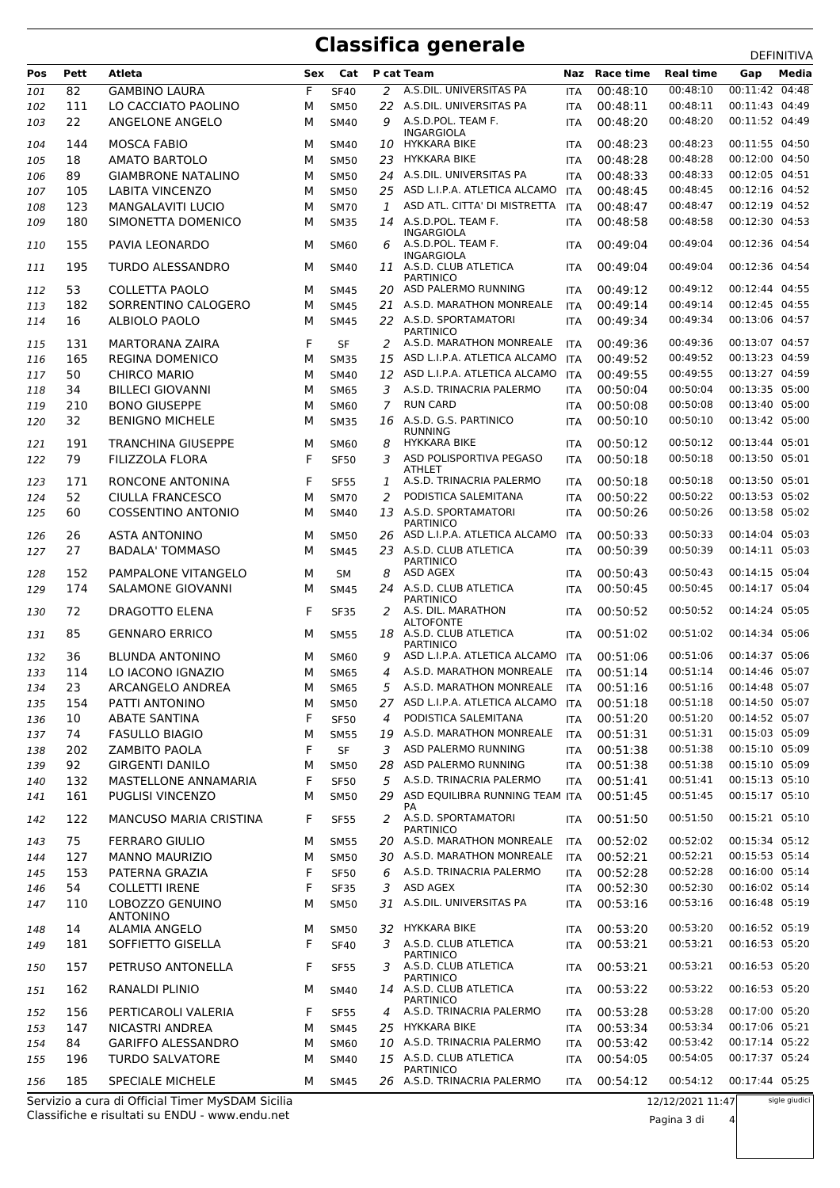## **Classifica generale** DEFINITIVA

| Pos | Pett | Atleta                             | Sex | Cat         |                | P cat Team                                                     | Naz        | <b>Race time</b> | <b>Real time</b> | Gap            | Media |
|-----|------|------------------------------------|-----|-------------|----------------|----------------------------------------------------------------|------------|------------------|------------------|----------------|-------|
| 101 | 82   | <b>GAMBINO LAURA</b>               | F   | <b>SF40</b> | 2              | A.S.DIL. UNIVERSITAS PA                                        | <b>ITA</b> | 00:48:10         | 00:48:10         | 00:11:42 04:48 |       |
| 102 | 111  | LO CACCIATO PAOLINO                | М   | <b>SM50</b> |                | 22 A.S.DIL. UNIVERSITAS PA                                     | <b>ITA</b> | 00:48:11         | 00:48:11         | 00:11:43 04:49 |       |
| 103 | 22   | ANGELONE ANGELO                    | М   | <b>SM40</b> | 9              | A.S.D.POL. TEAM F.<br>INGARGIOLA                               | <b>ITA</b> | 00:48:20         | 00:48:20         | 00:11:52 04:49 |       |
| 104 | 144  | <b>MOSCA FABIO</b>                 | М   | <b>SM40</b> | 10             | HYKKARA BIKE                                                   | <b>ITA</b> | 00:48:23         | 00:48:23         | 00:11:55 04:50 |       |
| 105 | 18   | <b>AMATO BARTOLO</b>               | М   | <b>SM50</b> | 23             | <b>HYKKARA BIKE</b>                                            | <b>ITA</b> | 00:48:28         | 00:48:28         | 00:12:00 04:50 |       |
| 106 | 89   | <b>GIAMBRONE NATALINO</b>          | М   | <b>SM50</b> | 24             | A.S.DIL. UNIVERSITAS PA                                        | <b>ITA</b> | 00:48:33         | 00:48:33         | 00:12:05 04:51 |       |
| 107 | 105  | <b>LABITA VINCENZO</b>             | М   | <b>SM50</b> |                | 25 ASD L.I.P.A. ATLETICA ALCAMO                                | <b>ITA</b> | 00:48:45         | 00:48:45         | 00:12:16 04:52 |       |
| 108 | 123  | <b>MANGALAVITI LUCIO</b>           | М   | <b>SM70</b> | 1              | ASD ATL. CITTA' DI MISTRETTA                                   | <b>ITA</b> | 00:48:47         | 00:48:47         | 00:12:19 04:52 |       |
| 109 | 180  | SIMONETTA DOMENICO                 | М   | <b>SM35</b> | 14             | A.S.D.POL. TEAM F.                                             | ITA        | 00:48:58         | 00:48:58         | 00:12:30 04:53 |       |
| 110 | 155  | PAVIA LEONARDO                     | м   | <b>SM60</b> | 6              | <b>INGARGIOLA</b><br>A.S.D.POL. TEAM F.                        | ITA        | 00:49:04         | 00:49:04         | 00:12:36 04:54 |       |
| 111 | 195  | <b>TURDO ALESSANDRO</b>            | М   | <b>SM40</b> |                | INGARGIOLA<br>11 A.S.D. CLUB ATLETICA                          | <b>ITA</b> | 00:49:04         | 00:49:04         | 00:12:36 04:54 |       |
| 112 | 53   | COLLETTA PAOLO                     | М   | <b>SM45</b> | 20             | <b>PARTINICO</b><br>ASD PALERMO RUNNING                        | <b>ITA</b> | 00:49:12         | 00:49:12         | 00:12:44 04:55 |       |
| 113 | 182  | SORRENTINO CALOGERO                | М   | <b>SM45</b> |                | 21 A.S.D. MARATHON MONREALE                                    | <b>ITA</b> | 00:49:14         | 00:49:14         | 00:12:45 04:55 |       |
| 114 | 16   | ALBIOLO PAOLO                      | М   | <b>SM45</b> |                | 22 A.S.D. SPORTAMATORI                                         |            | 00:49:34         | 00:49:34         | 00:13:06 04:57 |       |
|     |      |                                    |     |             |                | <b>PARTINICO</b>                                               | ITA        |                  |                  |                |       |
| 115 | 131  | <b>MARTORANA ZAIRA</b>             | F   | <b>SF</b>   |                | 2 A.S.D. MARATHON MONREALE                                     | <b>ITA</b> | 00:49:36         | 00:49:36         | 00:13:07 04:57 |       |
| 116 | 165  | <b>REGINA DOMENICO</b>             | М   | <b>SM35</b> | 15             | ASD L.I.P.A. ATLETICA ALCAMO                                   | <b>ITA</b> | 00:49:52         | 00:49:52         | 00:13:23 04:59 |       |
| 117 | 50   | <b>CHIRCO MARIO</b>                | М   | <b>SM40</b> | 12             | ASD L.I.P.A. ATLETICA ALCAMO                                   | ITA        | 00:49:55         | 00:49:55         | 00:13:27 04:59 |       |
| 118 | 34   | <b>BILLECI GIOVANNI</b>            | М   | <b>SM65</b> | 3              | A.S.D. TRINACRIA PALERMO                                       | <b>ITA</b> | 00:50:04         | 00:50:04         | 00:13:35 05:00 |       |
| 119 | 210  | <b>BONO GIUSEPPE</b>               | М   | SM60        | $\overline{7}$ | <b>RUN CARD</b>                                                | <b>ITA</b> | 00:50:08         | 00:50:08         | 00:13:40 05:00 |       |
| 120 | 32   | <b>BENIGNO MICHELE</b>             | М   | <b>SM35</b> | 16             | A.S.D. G.S. PARTINICO<br><b>RUNNING</b>                        | <b>ITA</b> | 00:50:10         | 00:50:10         | 00:13:42 05:00 |       |
| 121 | 191  | <b>TRANCHINA GIUSEPPE</b>          | М   | <b>SM60</b> | 8              | <b>HYKKARA BIKE</b>                                            | <b>ITA</b> | 00:50:12         | 00:50:12         | 00:13:44 05:01 |       |
| 122 | 79   | FILIZZOLA FLORA                    | F   | <b>SF50</b> | 3              | ASD POLISPORTIVA PEGASO<br><b>ATHLET</b>                       | <b>ITA</b> | 00:50:18         | 00:50:18         | 00:13:50 05:01 |       |
| 123 | 171  | RONCONE ANTONINA                   | F   | <b>SF55</b> | 1              | A.S.D. TRINACRIA PALERMO                                       | ITA        | 00:50:18         | 00:50:18         | 00:13:50 05:01 |       |
| 124 | 52   | <b>CIULLA FRANCESCO</b>            | М   | <b>SM70</b> | 2              | PODISTICA SALEMITANA                                           | ITA        | 00:50:22         | 00:50:22         | 00:13:53 05:02 |       |
| 125 | 60   | <b>COSSENTINO ANTONIO</b>          | М   | <b>SM40</b> |                | 13 A.S.D. SPORTAMATORI<br><b>PARTINICO</b>                     | <b>ITA</b> | 00:50:26         | 00:50:26         | 00:13:58 05:02 |       |
| 126 | 26   | <b>ASTA ANTONINO</b>               | М   | <b>SM50</b> |                | 26 ASD L.I.P.A. ATLETICA ALCAMO                                | ITA        | 00:50:33         | 00:50:33         | 00:14:04 05:03 |       |
| 127 | 27   | <b>BADALA' TOMMASO</b>             | М   | <b>SM45</b> |                | 23 A.S.D. CLUB ATLETICA<br><b>PARTINICO</b>                    | <b>ITA</b> | 00:50:39         | 00:50:39         | 00:14:11 05:03 |       |
| 128 | 152  | PAMPALONE VITANGELO                | М   | SМ          | 8              | ASD AGEX                                                       | ITA        | 00:50:43         | 00:50:43         | 00:14:15 05:04 |       |
| 129 | 174  | SALAMONE GIOVANNI                  | М   | <b>SM45</b> |                | 24 A.S.D. CLUB ATLETICA                                        | <b>ITA</b> | 00:50:45         | 00:50:45         | 00:14:17 05:04 |       |
| 130 | 72   | DRAGOTTO ELENA                     | F   | <b>SF35</b> | 2              | <b>PARTINICO</b><br>A.S. DIL. MARATHON<br><b>ALTOFONTE</b>     | ITA        | 00:50:52         | 00:50:52         | 00:14:24 05:05 |       |
| 131 | 85   | <b>GENNARO ERRICO</b>              | м   | <b>SM55</b> |                | 18 A.S.D. CLUB ATLETICA<br><b>PARTINICO</b>                    | <b>ITA</b> | 00:51:02         | 00:51:02         | 00:14:34 05:06 |       |
| 132 | 36   | <b>BLUNDA ANTONINO</b>             | М   | <b>SM60</b> | 9              | ASD L.I.P.A. ATLETICA ALCAMO                                   | <b>ITA</b> | 00:51:06         | 00:51:06         | 00:14:37 05:06 |       |
| 133 | 114  | LO IACONO IGNAZIO                  | М   | <b>SM65</b> | 4              | A.S.D. MARATHON MONREALE                                       | <b>ITA</b> | 00:51:14         | 00:51:14         | 00:14:46 05:07 |       |
| 134 | 23   | ARCANGELO ANDREA                   | М   | <b>SM65</b> | 5              | A.S.D. MARATHON MONREALE                                       | <b>ITA</b> | 00:51:16         | 00:51:16         | 00:14:48 05:07 |       |
| 135 | 154  | PATTI ANTONINO                     | М   | <b>SM50</b> |                | 27 ASD L.I.P.A. ATLETICA ALCAMO                                | <b>ITA</b> | 00:51:18         | 00:51:18         | 00:14:50 05:07 |       |
| 136 | 10   | <b>ABATE SANTINA</b>               | F   | <b>SF50</b> | $\overline{4}$ | PODISTICA SALEMITANA                                           | <b>ITA</b> | 00:51:20         | 00:51:20         | 00:14:52 05:07 |       |
| 137 | 74   | <b>FASULLO BIAGIO</b>              | М   | <b>SM55</b> |                | 19 A.S.D. MARATHON MONREALE                                    | ITA        | 00:51:31         | 00:51:31         | 00:15:03 05:09 |       |
| 138 | 202  | <b>ZAMBITO PAOLA</b>               | F   | <b>SF</b>   | 3              | ASD PALERMO RUNNING                                            | <b>ITA</b> | 00:51:38         | 00:51:38         | 00:15:10 05:09 |       |
| 139 | 92   | <b>GIRGENTI DANILO</b>             | М   | <b>SM50</b> | 28             | ASD PALERMO RUNNING                                            | <b>ITA</b> | 00:51:38         | 00:51:38         | 00:15:10 05:09 |       |
| 140 | 132  | MASTELLONE ANNAMARIA               | F   | <b>SF50</b> | 5              | A.S.D. TRINACRIA PALERMO                                       | <b>ITA</b> | 00:51:41         | 00:51:41         | 00:15:13 05:10 |       |
| 141 | 161  | PUGLISI VINCENZO                   | М   | <b>SM50</b> |                | 29 ASD EQUILIBRA RUNNING TEAM ITA                              |            | 00:51:45         | 00:51:45         | 00:15:17 05:10 |       |
| 142 | 122  | <b>MANCUSO MARIA CRISTINA</b>      | F   | <b>SF55</b> | 2              | PA<br>A.S.D. SPORTAMATORI<br><b>PARTINICO</b>                  | <b>ITA</b> | 00:51:50         | 00:51:50         | 00:15:21 05:10 |       |
| 143 | 75   | <b>FERRARO GIULIO</b>              | М   | <b>SM55</b> |                | 20 A.S.D. MARATHON MONREALE                                    | <b>ITA</b> | 00:52:02         | 00:52:02         | 00:15:34 05:12 |       |
| 144 | 127  | <b>MANNO MAURIZIO</b>              | М   | <b>SM50</b> | 30             | A.S.D. MARATHON MONREALE                                       | ITA        | 00:52:21         | 00:52:21         | 00:15:53 05:14 |       |
| 145 | 153  | PATERNA GRAZIA                     | F   | <b>SF50</b> | 6              | A.S.D. TRINACRIA PALERMO                                       | <b>ITA</b> | 00:52:28         | 00:52:28         | 00:16:00 05:14 |       |
| 146 | 54   | <b>COLLETTI IRENE</b>              | F   | <b>SF35</b> | 3              | ASD AGEX                                                       | <b>ITA</b> | 00:52:30         | 00:52:30         | 00:16:02 05:14 |       |
| 147 | 110  | LOBOZZO GENUINO<br><b>ANTONINO</b> | М   | <b>SM50</b> | 31             | A.S.DIL. UNIVERSITAS PA                                        | <b>ITA</b> | 00:53:16         | 00:53:16         | 00:16:48 05:19 |       |
| 148 | 14   | <b>ALAMIA ANGELO</b>               | М   | <b>SM50</b> |                | 32 HYKKARA BIKE                                                | <b>ITA</b> | 00:53:20         | 00:53:20         | 00:16:52 05:19 |       |
| 149 | 181  | SOFFIETTO GISELLA                  | F   | <b>SF40</b> | 3              | A.S.D. CLUB ATLETICA                                           | <b>ITA</b> | 00:53:21         | 00:53:21         | 00:16:53 05:20 |       |
| 150 | 157  | PETRUSO ANTONELLA                  | F   | <b>SF55</b> |                | <b>PARTINICO</b><br>3 A.S.D. CLUB ATLETICA<br><b>PARTINICO</b> | <b>ITA</b> | 00:53:21         | 00:53:21         | 00:16:53 05:20 |       |
| 151 | 162  | RANALDI PLINIO                     | м   | <b>SM40</b> |                | 14 A.S.D. CLUB ATLETICA<br><b>PARTINICO</b>                    | <b>ITA</b> | 00:53:22         | 00:53:22         | 00:16:53 05:20 |       |
| 152 | 156  | PERTICAROLI VALERIA                | F   | <b>SF55</b> | 4              | A.S.D. TRINACRIA PALERMO                                       | ITA        | 00:53:28         | 00:53:28         | 00:17:00 05:20 |       |
| 153 | 147  | NICASTRI ANDREA                    | М   | <b>SM45</b> |                | 25 HYKKARA BIKE                                                | <b>ITA</b> | 00:53:34         | 00:53:34         | 00:17:06 05:21 |       |
| 154 | 84   | <b>GARIFFO ALESSANDRO</b>          | М   | <b>SM60</b> |                | 10 A.S.D. TRINACRIA PALERMO                                    | <b>ITA</b> | 00:53:42         | 00:53:42         | 00:17:14 05:22 |       |
| 155 | 196  | <b>TURDO SALVATORE</b>             | М   | SM40        |                | 15 A.S.D. CLUB ATLETICA<br><b>PARTINICO</b>                    | ITA        | 00:54:05         | 00:54:05         | 00:17:37 05:24 |       |
| 156 | 185  | SPECIALE MICHELE                   | М   | <b>SM45</b> |                | 26 A.S.D. TRINACRIA PALERMO                                    | <b>ITA</b> | 00:54:12         | 00:54:12         | 00:17:44 05:25 |       |

Classifiche e risultati su ENDU - www.endu.net Servizio a cura di Official Timer MySDAM Sicilia